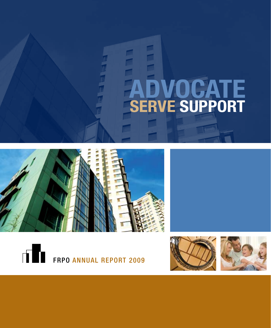# **Advocate Serve Support**







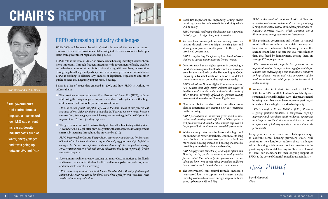## **Chair's Report**



David Horwood, *FRPO Chair*

" The government's rent control formula imposed a near-record low 1.8% cap on rent increases, despite industry costs such as water, energy, wages and taxes going up between 3% and 9%."



### FRPO addressing industry challenges

While 2009 will be remembered in Ontario for one of the deepest economic recessions in years, the province's rental housing industry saw most of its challenges result from government regulations and policies.

FRPO's role as the voice of Ontario's private rental housing industry has never been more important. Through frequent meetings with government officials, credible and effective communications, information sharing with members, intervention through legal challenges and participation in numerous government consultations, FRPO is working to alleviate any impacts of legislation, regulations and other public policies that negatively impact rental housing.

Below is a list of issues that emerged in 2009, and how FRPO is working to address them:

The province announced a new 13% Harmonized Sales Tax (HST), without addressing the unique negative impact on landlords who get stuck with a huge cost increase that cannot be passed on to customers;

*FRPO is ensuring that mitigation of HST is the main focus of our government relations efforts. After obtaining a valuable HST rebate for new rental housing construction, following aggressive lobbying, we are seeking further relief from the impact of the HST on operating expenses.*

The government moved to retroactively declare all submetering activity since November 2005 illegal, after previously stating that its objective is to implement smart sub-metering throughout the province by 2010;

*FRPO intervened in Ontario Energy Board proceedings to advocate for the rights of landlords to implement submetering, and is lobbying government for legislative changes to permit cost-effective implementation of this important energy conservation measure, which will ensure all tenants finally get to pay only for the electricity they use.*

Several municipalities are now sending out rent reduction notices to landlords and tenants, when in fact the landlord's overall municipal taxes (basic tax, water and new waste levies) is increasing;

*FRPO is working with the Landlord Tenant Board and the Ministry of Municipal Affairs and Housing to ensure landlords are able to apply for rent variances when needed without any difficulties.*

■ Local fire inspectors are improperly issuing orders requiring a new fire code retrofit for audibility which will be costly;

*FRPO is actively challenging this direction and supporting industry efforts to appeal any unjust decisions.*

**N** Various local municipalities are raising taxes on tenants through new municipal licensing fees and abusing new powers recently granted to them by the provincial government;

*FRPO is supporting the efforts of local landlord associations to oppose unfair licensing fees on tenants.*

n Ontario's new human rights system is producing a flood of claims against landlords which are frivolous, even by the standards of the Human Rights Code, imposing substantial costs on landlords to defend those claims and accommodate legitimate needs;

*FRPO helped the Human Rights Commission develop new policies that help better balance the rights of landlords and tenants, while addressing the needs of other tenants adversely affected by persons seeking accommodation under the Human Rights Code.*

n New accessibility standards with unrealistic compliance timeframes are creating new cost pressures on the industry;

*FRPO participated in numerous government consultations and meetings with officials to lobby against a cost prohibitive and unachievable retrofit requirement for proposed built environment accessibility standards.*

**n** While vacancy rates remain historically high and the number of renter households continues its long term decline, the government persists in building more social housing instead of boosting incomes by providing more shelter allowance benefits;

*FRPO engaged the Ministry of Municipal Affairs and Housing during public consultations and provided formal input that will help the government ensure adequate long-term supply while providing sufficient income assistance to households who are in most need*

 $\blacksquare$  The government's rent control formula imposed a near-record low 1.8% cap on rent increases, despite industry costs such as water, energy, wages and taxes going up between 3% and 9%;

*FRPO is the province's most vocal critic of Ontario's restrictive rent control system and is actively lobbying for improvements to rent control rules regarding aboveguideline increases (AGIs), which currently are a disincentive to energy conservation investments.*

 $\blacksquare$  The provincial government still refuses to compel municipalities to reduce the unfair property tax treatment of multi-residential housing, where the average tenant faces a tax rate that is 2.7 times higher than that faced by homeowners, costing them an average \$77 more per month.

*FRPO recommended property tax fairness as an important solution to improve housing affordability for tenants, and is developing a communications initiative to help educate tenants and raise awareness of the need to eliminate the unfair property tax treatment of rental housing.*

**N** Vacancy rates in Ontario increased in 2009 to 3.3% from 3.1% in 2008. Ontario's availability rate remained historically high at 5.4%. The private rental housing sector has never been more competitive, as tenants seek ever-higher standards of quality.

*FRPO's Certified Rental Building (CRB) Program is giving qualified landlords a competitive edge by approving and classifying multi-residential apartment buildings across the Ontario marketplace that meet a defined set of industry quality assurance standards for residents.*

Every year sees new issues and challenges emerge to confront rental housing providers. FRPO will continue to help landlords address these challenges while obtaining a fair return on their investments in providing quality rental housing to Ontarians. I want to thank our members for their ongoing support of FRPO as the voice of Ontario's rental housing industry.

Imy Mumy

David Horwood *Chair*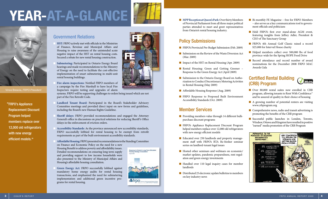## **Year-at-a-Glance**



Vince Brescia, *FRPO President*

"FRPO's Appliance Replacement Discount Program helped members replace over 12,000 old refrigerators with new energy efficient models."



- of Finance, Revenue and Municipal Affairs and Housing to raise awareness of the unintended acute negative impact of the HST on rental housing costs. Secured a rebate for new rental housing construction.
- Submetering: Participated in Ontario Energy Board hearings and made recommendations to the Ministry of Energy on the need to facilitate the cost-effective implementation of smart submetering in multi-unit rental housing buildings.
- Fire alarm inspections: Notified FRPO members of a campaign by the Fire Marshall to have local Fire Inspectors require testing and upgrades of alarm

systems. FRPO will be supporting challenges to orders being issued which are not part of the Fire Retrofit Code.

- Landlord Tenant Board: Participated in the Board's Stakeholder Advisory Committee meetings and provided direct input on new forms and guidelines, including the Board's new Human Rights Guideline.
- Sheriff delays: FRPO provided recommendations and engaged the Attorney General's office in discussions on practical solutions for reducing Sheriff's Office delays in the enforcement of eviction orders.
- n **Accessibility Standards:** As the province announced new accessibility standards, FRPO successfully lobbied for rental housing to be exempt from retrofit requirements as part of the built environment accessibility standards.
- n **Affordable Housing:** FRPO presented recommendations to the Standing Committee on Finance and Economic Policy on the need for a new Housing Benefit to address poverty and affordability issues. Detailed recommendations on ensuring long term supply and providing support to low income households were also presented to the Ministry of Municipal Affairs and Housing's affordable housing consultation.
- n **Green Energy Act:** FRPO successfully lobbied against mandatory home energy audits for rental housing transactions, and emphasized the need for submetering implementation and additional green incentive programs for rental housing.



■ **MPP Reception at Queen's Park: Over thirty Members** of Provincial Parliament from all three major political parties attended to meet and greet representatives from Ontario's rental housing industry.

#### Policy Submissions

- **n** FRPO's Provincial Pre-Budget Submission (Feb. 2009)
- Submission on the Review of the Waste Diversion Act (Mar. 2009)
- Impact of the HST on Rental Housing (Apr. 2009)
- **n** Rental Housing: Green and Getting Greener Response to the Green Energy Act (April 2009)
- Submission to the Ontario Energy Board on Authorization to Conduct Discretionary Metering Activities in Rental Housing (May 2009)
- n Affordable Housing Response (Aug. 2009)
- **n** FRPO Response to Proposed Built Environment Accessibility Standards (Oct. 2009)

#### Member Services

- Providing members value through 14 different bulkpurchase discount programs
- **n** FRPO's Appliance Replacement Discount Program helped members replace over 12,000 old refrigerators with new energy efficient models
- Educated over 250 landlords and property management staff with FRPO's RTA Re-fresher seminar series on landlord-tenant legal issues
- $\blacksquare$  Hosted other seminars and webinars on economic/ market updates, pandemic preparedness, rent regulation and green energy investments
- Handled over 110 legal inquiry cases for member landlords
- $\blacksquare$  Distributed 25 electronic update bulletins to members on key industry news
- Bi-monthly FE Magazine free for FRPO Members – also serves as a key communications tool to government officials and politicians
- Held FRPO's first ever stand-alone AGM event, featuring insights from Jeffrey Adler, President & CEO of The Sanctuary Group
- **FRPO's 4th Annual Golf Classic raised a record** \$25,000 for Interval House charity
- Helped members collect over 500,000 lbs of food province-wide for the Spring HOPE Food Drive
- **n** Record attendance and record number of award nominations for the December 2008 FRPO MAC Awards Gala

#### Certified Rental Building (CRB) Program



- **n** Over 80,000 rental suites now enrolled in CRB program, allowing tenants to Rent With Confidence™ and be assured of quality in their choice of housing
- $\blacksquare$  A growing number of potential renters are visiting www.crbprogram.org
- $\blacksquare$  Comprehensive news, radio and transit advertising is promoting the benefits of the CRB program
- n Successful public launches in London, Toronto, Windsor, Ottawa and Kingston have resulted in positive "earned" media promotion of the CRB Program

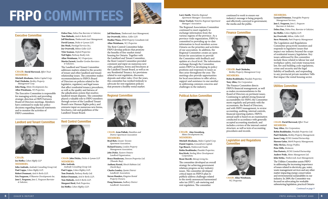## **FRPO Committees**

*& Solicitors.*

**Debra Fine,** *Debra Fine Barrister & Solicitor;*  **Tom Halinski,** *Aird & Berlis LLP;* 

**David Lyman,** *Dickie & Lyman LLP;*  **Jim Moak,** *Paralegal Services Inc.;*  **Joy Overtveld,** *Milton Geller LLP;*  **Tyler Seaman,** *Oxford Properties* **Neil Sigler,** *Parkway Realty Ltd.;*  **Allan Weinbaum,** *W.J. Propertyies;*  **Martin Zarnett,** *Sandlar Gordon Barristers* 

The Landlord and Tenant Committee addresses matters related to the security of tenure and other landlord and tenant

recommendations to FRPO's Board of Directors on policies related to the legislative, regulatory and legal issues that affect residential tenancy procedures, as well as the quality and fairness of the adjudication system that resolves landlord-tenant disputes. The committee played a valuable role to FRPO members through review of the Landlord Tenant Board's new Human Rights policy, and extensive input on numerous new forms, brochures, rule and guidelines of the



#### Executive Committee



**Chair: David Horwood,** *Effort Trust* **Members:**

**Mitchell Abrahams,** *Malen Capital Corp;*  **Paul Chisholm,** *Berkley Property Management Corp;*  **John Stang,** *Minto Developments Inc;* 

**Allen Wienbaum,** *WJ Properties;*

The Executive Committee is responsible for managing activity and providing strategic direction at FRPO between Board of Directors meetings. Members have continued to make key policy decisions regarding financial statements and to monitor the activities of FRPO committees.

#### Landlord and Tenant Committee



**Chair: Joe Hoffer,** *Cohen Highly LLP* **Members: John Andrade,** *Andrade Consulting Group Ltd;*  **Paul Cappa,** *Cohen Highly LLP;*  **Robert Doumani,** *Aird & Berlis LLP;*  **Eric Ferguson,** *O'Shanrter Developments Inc.*  **Jane L. Ferguson,** *Jane L. Ferguson Barrister & Solicitor;* 

Rent Control Committee

Landlord Tenant Board.



**Chair: John Dickie,** *Dickie & Lyman LLP* **Members: John Andrade,**

*Andrade Consulting Group Ltd;*  **Paul Cappa,** *Cohen Highley LLP;*  **Tom Deutsch,** *Parkway Realty Ltd;*  **Robert Doumani,** *Aird & Berlis LLP;*  **Tom Halinski,** *Aird & Berlis LLP;*  **Margaret Herd,** *Park Properties;* **Joe Hoffer,** *Cohen Highley LLP;* 

**Jeff Hutchison,** *Timbercreek Asset Management;*  relationship issues. The committee makes **Jeff Hutchison,** *Timbercreek Asset Management;*  **Joy Overtveld,** *Milton, Geller LLP;* **Heather Waese,** *SPAR Property Consultants Ltd;*  **Allan Weinbaum,** *W.J. Properties* The Rent Control Committee helps FRPO develop policies that promote the benefits of free-market rentalhousing for Ontario. Together with the Landlord and Tenant Committee, the Rent Control Committee provided comment and input on numerous new rules, guidelines, forms and brochures at the Landlord Tenant Board, as well as on any Residential Tenancy Act provisions related to rent regulation, discounts, deposits and other rules. Over the years, this committee has worked tirelessly to

> advocate for rent regulation policies that promote a healthy rental market.

Regional Committee



**Chair: Arun Pathak,** *Hamilton and District Apartment Association*

#### **Members:**

**Brad Butt,** *Greater Toronto Apartment Association;*  **Richard Iszawa,** *London Property Management Association;* 

*John Dickie, Eastern Ontario Landlord Organization;*  **Bruce Henderson,** *Dawson Properties Ltd.* 

*(Thunder Bay);*  **Anthony Koziol,** *Hirsch Habitats Ltd.* 

*(North Bay);*  **Charles Lumley,** *Quinte District* 

*Landlords' Association;*  **Steven Manders,** *Kingston Rental* 

*Property Owners;* 

**Doug Simmons,** *Sudbury District Landlords' Association;* 

**Larry Smith,** *Waterloo Regional Apartment Managers' Association;* 

**Glenn Trachsel,** *Waterloo Regional Apartment Managers' Association*

The Regional Associations Committee continued to meet regularly to exchange information from the various regions of the province. As a province-wide organization, FRPO is committed to providing up-to-date information to local members across Ontario on the priorities and activities of our association. In addition, the Regional Committee creates an open forum for associations to provide the Committee with feedback and updates at a local level. The information exchange through the Committee assists FRPO in developing its policy positions and responses to issues as they arise throughout the year. The meetings also provide opportunities for local associations to offer advice, support and assistance to one another in addressing common concerns and challenges in the industry.

#### Political Action Committee



**Chair: Alan Greenberg,** *Minto Developments Inc.* **Members:**

**Mitchell Abrahams,** *Malen Capital Corp;*  **Daniel Argiros,** *Conundrum Capital;* **Ugo Bizarri,** *Timbercreek Funds;* **Robin Bookbinder,** *Pinedale Properties;*  **Ken Kirsh,** *Sterling Silver Development Corporation;*

**Brent Merrill,** *Metcap Living Inc.*

The committee developed an overall strategy for achieving government relations progress on key industry issues. The committee developed critical input on FRPO's plan to publicly address challenges related to the newly announced harmonized sales tax (HST), sub-metering and rent regulation. The committee

continued to work to ensure our industry's message is being properly and effectively conveyed to government, the media and the public.

#### Finance Committee



**Chair: Paul Chisholm,** *Berkley Property Management Corp* **Members:**

**Robin Bookbinder,** *Pinedale Properties;*  **Tony Allen,** *Ozz Corporation* The Finance Committee directs FRPO's financial management, as well

as makes recommendations to the Board of Directors on pertinent issues. Continuing to uphold strong financial accountability for FRPO, the Committee meets regularly and privately with the accountants, the Board of Directors, and with FRPO management, to review accounting, auditing, internal controls, financial reporting matters. FRPO's annual audit is based on an examination conducted in accordance with generally accepted accounting standards, and includes a review of the internal control structure, as well as tests of accounting procedures and records.

#### Legislation and Regulations **Committee**



**Chair: Allan Weinbaum,** *W.J. Properties*

#### **Members:**

**Leonard Drimmer,** *Transglobe Property Management Services;* **Jane L. Ferguson,** *Jane L. Ferguson Barrister & Solicitor;*  **Debra Fine,** *Debra Fine, Barrister & Solicitor;*  **Joe Hoffer,** *Cohen Highley LLP;*  **Joy Overtveld,** *Milton, Geller LLP;*  **Steve Weinrieb,** *Park Property Management* 

The Legislation and Regulations Committee proactively monitors and responds to legislative issues that impact our industry beyond the scope of residential tenancy legislation. Key issues addressed by this committee include those related to labour law and workplace safety, real estate transaction law, fire and building code regulations, crime and security and the legal liability of landlords, and responding to any provincial private members' bills that impact the rental housing sector.

#### Utilities Committee



**Chair: David Horwood,** *Effort Trust* **Members:**

**Tony Allen,** *Ozz Corporation;*  **Robin Bookbinder,** *Pinedale Properties Ltd;*  **Paul Chisholm,** *Berkley Property Management;*  **Jason Craig,** *ECNG Limited Partnership;*  **Haroon Gafur,** *M&R Property Management;*  **Mike McGee,** *Energy Profiles;*  **Peter Mills,** *Stratacon;*  **Dan Pastoric,** *ECNG Limited Partnership;*  **Andrew Pride,** *Minto Management Ltd.* **John Sirilas,** *Timbercreek Asset Management;* 

The Utilities Committee assists FRPO in addressing the increasing importance of issues related to electricity, gas, water, waste management services and any other matter impacting energy conservation and environmental sustainability in our industry. In 2009, the Committee was focused on advocating for workable submetering legislation, practical Ontario

*Continued on page 9*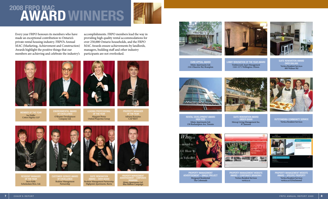### **AWARD WINNER 2008 FRPO MAC**

Every year FRPO honours its members who have made an exceptional contribution to Ontario's private rental housing industry. FRPO's Annual MAC (Marketing, Achievement and Construction) Awards highlight the positive things that our members are achieving and celebrate the industry's

accomplishments. FRPO members lead the way in providing high quality rental accommodations for over 250,000 Ontario households, and the FRPO MAC Awards ensure achievements by landlords, managers, building staff and other industry participants are not overlooked.





Member of the Year Joe Hoffer Cohen Highley LLP

Environmental Award

of Excellence O'Shanter Development Company Ltd. Oxford Properties Group



Margaret Power

SUITE RENOVATION

PROPERTY MANAGER THE YEA Adriana Keresztes CAP REIT



Resident Manager OF THE YEA Steve Kelly Schickedanz Bros. Ltd.



**EXCELLENCE** Realstar Management Partnership Realstar Management Partnership Highpoint Apartments, Barrie



DVERTISEMENT – CORPORAT BRANDING Minto Apartments Ltd. Blue Ribbon Campaign







CURB APPEAL AWARD Minto Apartments Ltd. 2 & 4 Hanover Rd, Brampton

Lobby Renovation of the Year Award Timbercreek Asset Management 1161-1171 Wellington, Ottawa

Suite Renovation Award **OVER \$50,00** Vertica Resident Services 400 Walmer Rd





Rental Development Award High Rise Minto Apartments Ltd. 150 Roehampton Ave, Toronto

SUITE RENOVATION AWARD IDER \$5000 Metcap Living Management Inc. 87 Jameson





Property Management Advertisement – Single Project Morguard Residential The Colonnade







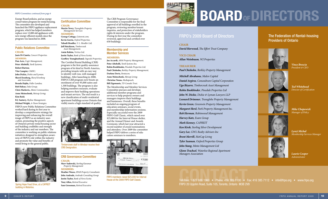#### *FRPO Committees continued from page 6*

Energy Board policies, and an energy conservation program for rental housing. The committee also developed and launched the FRPO appliance replacement program, which has helped members replace over 12,000 old appliances with new energy efficient models since the program was launched in 2008.

#### Public Relations Committee

#### **Chair: Janis Di Ciantis,** *Concert Properties.*

**Members: Dan Acre,** *Cogir Management;* **Peter Altobelli,** *Yardi Systems;* **Robert Burton; Vito Campisi,** *CMHC;*

**John Dickie,** *Dickie and Lyman;*  **Sheryl Erenberg,** *Sheryl Erenberg and Associates;*

**Brenda Hajdu,** *Fuller Landau;* **Bob Helyar,** *Dala Group;* **Chris Markovic,** *Minto Communities;* **Anne Meinschenk,** *Metcap Living;*

#### **Kim Reid;**

**B.J. Santavy,** *Skyline Management;* **Michael Wright,** *A-Team Strategies.* FRPO's new Public Relations Committee worked hard during its first year to develop a comprehensive strategy for improving and enhancing the overall image of FRPO as an industry association, promoting the positive aspects of Ontario's private rental housing sector and building credibility and strength of the industry and our members. The committee is working on public relations initiatives designed to strengthen awareness of FRPO's role within the industry and promote the value and benefits of rental living to the general public.



Spring Hope Food Drive, at a CAPREIT building in Waterloo.

### Certification Committee

**Chair: Martin Tovey,** *Transglobe Property Management Services*

#### **Members: George Cottage,** *Gotorent.com;*

**Kevin Gorrie,** *Oxford Properties;*  **Yehudi Hendler,** *Y. L. Hendler Ltd;*  **Jeff Hutchison,** *Timbercreek Asset Management;* **Amin Rahim,** *Vertica Ltd;* **Justin Taylor,** *Bank of Nova Scotia;* **Geoffery Younghusband,** *Osgoode Properties;* The Certified Rental Building (CRB) program is the first quality-assurance program of its kind in North America, providing tenants with an easy way to identify well-run, well-managed buildings. After launching in 2008, FRPO's CRB program now boasts an enrolment of over 95,000 suites and 1,300 buildings. The program is also helping members measure, evaluate and improve their building operations and tenant services. The end result is a new classification of multi-residential apartment buildings across Ontario that visibly meets a high standard of quality.



Timbercreek staff in Windsor receive their CRB Designation.

CRB Governance Committee

**John Andrade,** *Andrade Consulting Group* **Justin Taylor,** *Bank of Nova Scotia* **Tony Allen,** *Retired Executive* **Sam Grossman,** *Retired Executive* 

**Marv Sadowski,** *Sterling Karamar Property Management* **Members:**

**Chair:**

#### $\blacksquare$  $$15,000.0$ housand. 00917-857 (000-0876 000990 **Heather Waese,** *SPAR Property Consultants*

The CRB Program Governance Committee is responsible for the final approval of all buildings enrolled in the program, reviewing member/tenant inquiries, and protection of stakeholders rights & interests under the program. During its first year the committee reviewed, approved and certified over

650 buildings.

Membership and Member Services **Members:**

**Darlene Davis,** *Stratacon;* **Anne Meinschenk,** *Metcap Living; C***hristine Tonus,** *Mediapeach;*  **Bill Zigomanis,** *TD Canada Trust.* The Membership and Member Services Committee pursues and develops additional member programs and services to help property owners and managers improve their buildings and businesses. Overall, these benefits included an ongoing program of education seminars, social events, and membership information sessions. Especially successful were the 2009 FRPO Golf Classic, which raised over \$25,000 for the Interval House shelter, and the Annual Dinner and Awards Ceremony, which last year attracted a record number of award nominations and attendees. Over 2009 the committee helped FRPO deliver a series of education seminars to members.

**Joe Accardi,** *ABM Property Management;* **Peter Altobelli,** *Yardi Systems Inc;*  **Robin Bookbinder,** *Pinedale Properties Ltd;*  **Paul Chisholm,** *Berkley Property Management;* 

FRPO members raised \$25,000 for Interval House at the 2009 FRPO Golf Classic.



## **Boardofdirectors**

#### FRPO's 2009 Board of Directors

#### **Chair**

*David Horwood, The Effort Trust Company*

#### **Vice Chair**

*Allan Weinbaum, WJ Properties*

#### **Treasurer**

*Paul Chisholm, Berkley Property Management* 

*Mitchell Abrahams, Malen Capital Daniel Argiros, Conundrum Capital Corporation Ugo Bizarre, Timbercreek Asset Management Robin Bookbinder, Pinedale Properties Ltd John W. Dickie, Dickie & Lyman Lawyers LLP Leonard Drimmer, Transglobe Property Management Kevin Green, Greenwin Property Management Margaret Herd, Park Property Management Inc. Rob Herman, Robinwood Management Harvey Katz, Esam Group Mark Kenney, CAPREIT Ken Kirsh, Sterling Silver Development Gary Lee, GWL Realty Advisors Inc Brent Merrill, MetCap Living Tyler Seaman, Oxford Properties Group John Stang, Minto Management Ltd Glenn Trachsel, Waterloo Regional Apartment Managers Association*

**COLL Free: 1 877 688 1960 • Phone: 416 385 1100 • Fax: 416 385 7112 • info@frpo.org • www.frpo.org**<br>FRPO 20 Uniohn Boad Suite 105 Toronto Ontario M3B 2V9 FRPO 20 Upjohn Road, Suite 105, Toronto, Ontario M3B 2V9

#### The Federation of Rental-housing Providers of Ontario



*Vince Brescia President & CEO*



*Ted Whitehead Director of Certification*



*Mike Chopowick Manager of Policy*



*Lynzi Michal Membership Services Manager*



*Laurie Cooper Administrator*